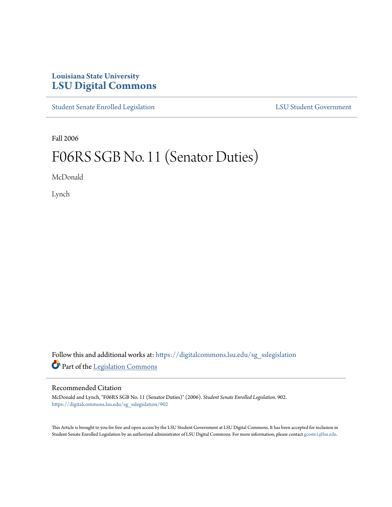## **Louisiana State University [LSU Digital Commons](https://digitalcommons.lsu.edu?utm_source=digitalcommons.lsu.edu%2Fsg_sslegislation%2F902&utm_medium=PDF&utm_campaign=PDFCoverPages)**

[Student Senate Enrolled Legislation](https://digitalcommons.lsu.edu/sg_sslegislation?utm_source=digitalcommons.lsu.edu%2Fsg_sslegislation%2F902&utm_medium=PDF&utm_campaign=PDFCoverPages) [LSU Student Government](https://digitalcommons.lsu.edu/sg?utm_source=digitalcommons.lsu.edu%2Fsg_sslegislation%2F902&utm_medium=PDF&utm_campaign=PDFCoverPages)

Fall 2006

## F06RS SGB No. 11 (Senator Duties)

McDonald

Lynch

Follow this and additional works at: [https://digitalcommons.lsu.edu/sg\\_sslegislation](https://digitalcommons.lsu.edu/sg_sslegislation?utm_source=digitalcommons.lsu.edu%2Fsg_sslegislation%2F902&utm_medium=PDF&utm_campaign=PDFCoverPages) Part of the [Legislation Commons](http://network.bepress.com/hgg/discipline/859?utm_source=digitalcommons.lsu.edu%2Fsg_sslegislation%2F902&utm_medium=PDF&utm_campaign=PDFCoverPages)

## Recommended Citation

McDonald and Lynch, "F06RS SGB No. 11 (Senator Duties)" (2006). *Student Senate Enrolled Legislation*. 902. [https://digitalcommons.lsu.edu/sg\\_sslegislation/902](https://digitalcommons.lsu.edu/sg_sslegislation/902?utm_source=digitalcommons.lsu.edu%2Fsg_sslegislation%2F902&utm_medium=PDF&utm_campaign=PDFCoverPages)

This Article is brought to you for free and open access by the LSU Student Government at LSU Digital Commons. It has been accepted for inclusion in Student Senate Enrolled Legislation by an authorized administrator of LSU Digital Commons. For more information, please contact [gcoste1@lsu.edu.](mailto:gcoste1@lsu.edu)